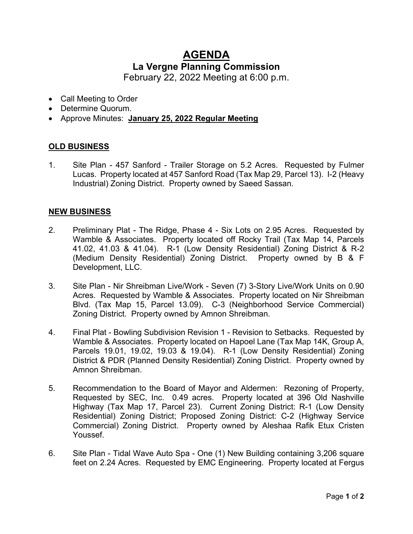## **AGENDA La Vergne Planning Commission**

February 22, 2022 Meeting at 6:00 p.m.

- Call Meeting to Order
- Determine Quorum.
- Approve Minutes: **January 25, 2022 Regular Meeting**

## **OLD BUSINESS**

1. Site Plan - 457 Sanford - Trailer Storage on 5.2 Acres. Requested by Fulmer Lucas. Property located at 457 Sanford Road (Tax Map 29, Parcel 13). I-2 (Heavy Industrial) Zoning District. Property owned by Saeed Sassan.

## **NEW BUSINESS**

- 2. Preliminary Plat The Ridge, Phase 4 Six Lots on 2.95 Acres. Requested by Wamble & Associates. Property located off Rocky Trail (Tax Map 14, Parcels 41.02, 41.03 & 41.04). R-1 (Low Density Residential) Zoning District & R-2 (Medium Density Residential) Zoning District. Property owned by B & F Development, LLC.
- 3. Site Plan Nir Shreibman Live/Work Seven (7) 3-Story Live/Work Units on 0.90 Acres. Requested by Wamble & Associates. Property located on Nir Shreibman Blvd. (Tax Map 15, Parcel 13.09). C-3 (Neighborhood Service Commercial) Zoning District. Property owned by Amnon Shreibman.
- 4. Final Plat Bowling Subdivision Revision 1 Revision to Setbacks. Requested by Wamble & Associates. Property located on Hapoel Lane (Tax Map 14K, Group A, Parcels 19.01, 19.02, 19.03 & 19.04). R-1 (Low Density Residential) Zoning District & PDR (Planned Density Residential) Zoning District. Property owned by Amnon Shreibman.
- 5. Recommendation to the Board of Mayor and Aldermen: Rezoning of Property, Requested by SEC, Inc. 0.49 acres. Property located at 396 Old Nashville Highway (Tax Map 17, Parcel 23). Current Zoning District: R-1 (Low Density Residential) Zoning District; Proposed Zoning District: C-2 (Highway Service Commercial) Zoning District. Property owned by Aleshaa Rafik Etux Cristen Youssef.
- 6. Site Plan Tidal Wave Auto Spa One (1) New Building containing 3,206 square feet on 2.24 Acres. Requested by EMC Engineering. Property located at Fergus